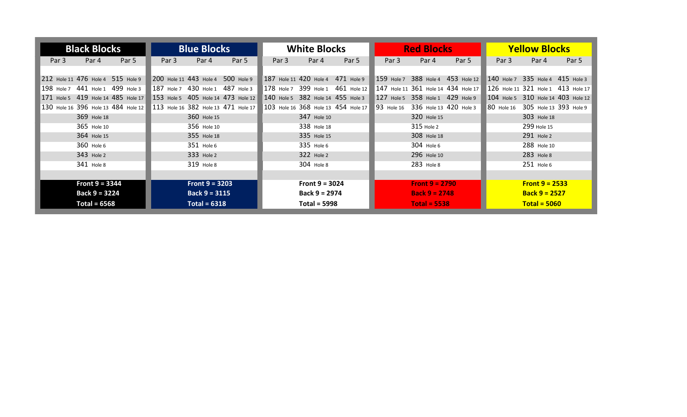| <b>Black Blocks</b>                 | <b>Blue Blocks</b>                  | <b>White Blocks</b>                             | <b>Red Blocks</b>                   | <b>Yellow Blocks</b>                 |  |  |
|-------------------------------------|-------------------------------------|-------------------------------------------------|-------------------------------------|--------------------------------------|--|--|
| Par 4<br>Par 5<br>Par 3             | Par 5<br>Par 4<br>Par 3             | Par 4<br>Par 5<br>Par 3                         | Par 5<br>Par 3<br>Par 4             | Par 5<br>Par 4<br>Par 3              |  |  |
|                                     |                                     |                                                 |                                     |                                      |  |  |
| 212 Hole 11 476 Hole 4 515 Hole 9   | 200 Hole 11 443 Hole 4 500 Hole 9   | 187 Hole 11 420 Hole 4 471 Hole 9               | 159 Hole 7 388 Hole 4 453 Hole 12   | 140 Hole 7 335 Hole 4 415 Hole 3     |  |  |
| 198 Hole 7 441 Hole 1 499 Hole 3    | 187 Hole 7 430 Hole 1 487 Hole 3    | 178 Hole 7 399 Hole 1 461 Hole 12               | 147 Hole 11 361 Hole 14 434 Hole 17 | 126 Hole 11 321 Hole 1 413 Hole 17   |  |  |
| 171 Hole 5 419 Hole 14 485 Hole 17  | 153 Hole 5 405 Hole 14 473 Hole 12  | 140 Hole 5 382 Hole 14 455 Hole 3               | 127 Hole 5 358 Hole 1 429 Hole 9    | 104 Hole 5 310 Hole 14 403 Hole 12   |  |  |
| 130 Hole 16 396 Hole 13 484 Hole 12 | 113 Hole 16 382 Hole 13 471 Hole 17 | $ 103 $ Hole 16 $ 368 $ Hole 13 $ 454 $ Hole 17 | 93 Hole 16 336 Hole 13 420 Hole 3   | 80 Hole 16<br>305 Hole 13 393 Hole 9 |  |  |
| 369 Hole 18                         | 360 Hole 15                         | 347 Hole 10                                     | 320 Hole 15                         | 303 Hole 18                          |  |  |
| 365 Hole 10                         | 356 Hole 10                         | 338 Hole 18                                     | 315 Hole 2                          | 299 Hole 15                          |  |  |
| 364 Hole 15                         | 355 Hole 18                         | 335 Hole 15                                     | 308 Hole 18                         | 291 Hole 2                           |  |  |
| 360 Hole 6                          | 351 Hole 6                          | 335 Hole 6                                      | 304 Hole 6                          | 288 Hole 10                          |  |  |
| 343 Hole 2                          | 333 Hole 2                          | 322 Hole 2                                      | 296 Hole 10                         | 283 Hole 8                           |  |  |
| 341 Hole 8                          | 319 Hole 8                          | 304 Hole 8                                      | 283 Hole 8                          | 251 Hole 6                           |  |  |
|                                     |                                     |                                                 |                                     |                                      |  |  |
| Front $9 = 3344$                    | Front $9 = 3203$                    | Front $9 = 3024$                                | <b>Front 9 = 2790</b>               | <b>Front 9 = 2533</b>                |  |  |
| Back $9 = 3224$                     | Back $9 = 3115$                     | Back $9 = 2974$                                 | <b>Back 9 = 2748</b>                | <b>Back 9 = 2527</b>                 |  |  |
| Total = $6568$<br>Total = $6318$    |                                     | <b>Total = 5998</b>                             | <b>Total = 5538</b>                 | $Total = 5060$                       |  |  |